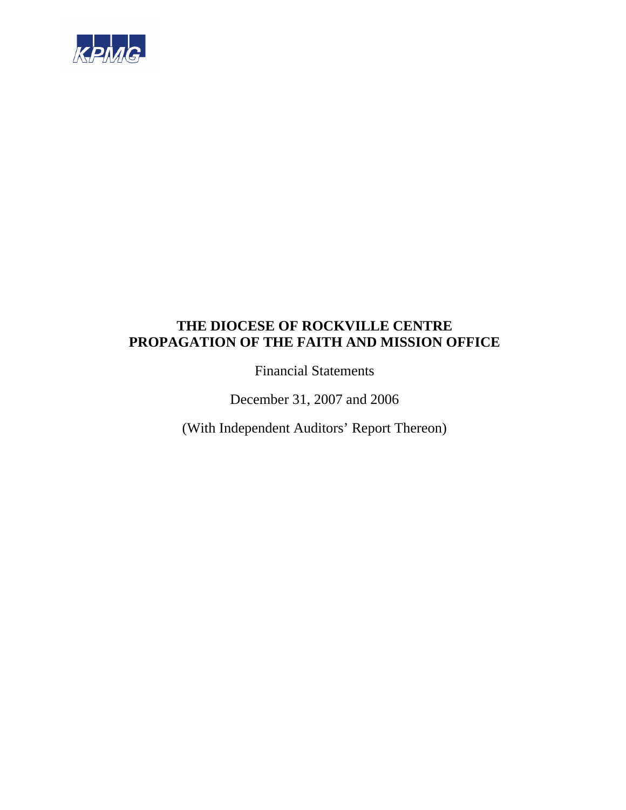

Financial Statements

December 31, 2007 and 2006

(With Independent Auditors' Report Thereon)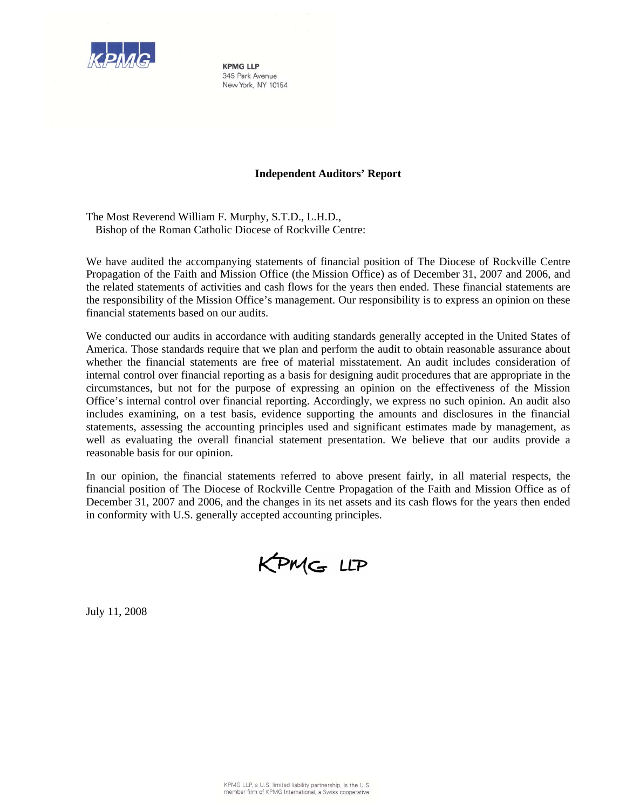

**KPMG LLP** 345 Park Avenue New York, NY 10154

# **Independent Auditors' Report**

The Most Reverend William F. Murphy, S.T.D., L.H.D., Bishop of the Roman Catholic Diocese of Rockville Centre:

We have audited the accompanying statements of financial position of The Diocese of Rockville Centre Propagation of the Faith and Mission Office (the Mission Office) as of December 31, 2007 and 2006, and the related statements of activities and cash flows for the years then ended. These financial statements are the responsibility of the Mission Office's management. Our responsibility is to express an opinion on these financial statements based on our audits.

We conducted our audits in accordance with auditing standards generally accepted in the United States of America. Those standards require that we plan and perform the audit to obtain reasonable assurance about whether the financial statements are free of material misstatement. An audit includes consideration of internal control over financial reporting as a basis for designing audit procedures that are appropriate in the circumstances, but not for the purpose of expressing an opinion on the effectiveness of the Mission Office's internal control over financial reporting. Accordingly, we express no such opinion. An audit also includes examining, on a test basis, evidence supporting the amounts and disclosures in the financial statements, assessing the accounting principles used and significant estimates made by management, as well as evaluating the overall financial statement presentation. We believe that our audits provide a reasonable basis for our opinion.

In our opinion, the financial statements referred to above present fairly, in all material respects, the financial position of The Diocese of Rockville Centre Propagation of the Faith and Mission Office as of December 31, 2007 and 2006, and the changes in its net assets and its cash flows for the years then ended in conformity with U.S. generally accepted accounting principles.

KPMG LLP

July 11, 2008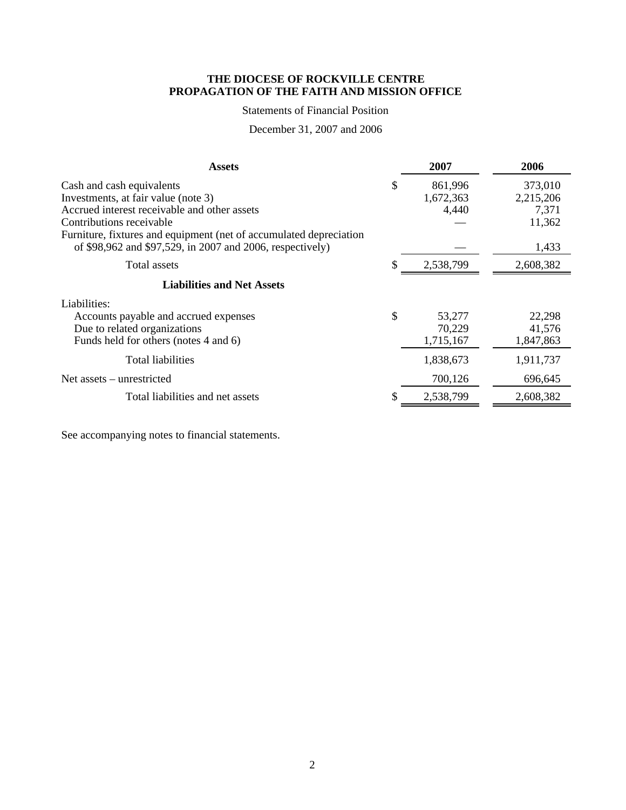# Statements of Financial Position

# December 31, 2007 and 2006

| <b>Assets</b>                                                                                                    | 2007                                | 2006                          |
|------------------------------------------------------------------------------------------------------------------|-------------------------------------|-------------------------------|
| Cash and cash equivalents<br>Investments, at fair value (note 3)<br>Accrued interest receivable and other assets | \$<br>861,996<br>1,672,363<br>4,440 | 373,010<br>2,215,206<br>7,371 |
| Contributions receivable<br>Furniture, fixtures and equipment (net of accumulated depreciation                   |                                     | 11,362                        |
| of \$98,962 and \$97,529, in 2007 and 2006, respectively)                                                        |                                     | 1,433                         |
| Total assets                                                                                                     | 2,538,799                           | 2,608,382                     |
| <b>Liabilities and Net Assets</b>                                                                                |                                     |                               |
| Liabilities:                                                                                                     |                                     |                               |
| Accounts payable and accrued expenses                                                                            | \$<br>53,277                        | 22,298                        |
| Due to related organizations                                                                                     | 70,229                              | 41,576                        |
| Funds held for others (notes 4 and 6)                                                                            | 1,715,167                           | 1,847,863                     |
| <b>Total liabilities</b>                                                                                         | 1,838,673                           | 1,911,737                     |
| Net assets – unrestricted                                                                                        | 700,126                             | 696,645                       |
| Total liabilities and net assets                                                                                 | 2,538,799                           | 2,608,382                     |

See accompanying notes to financial statements.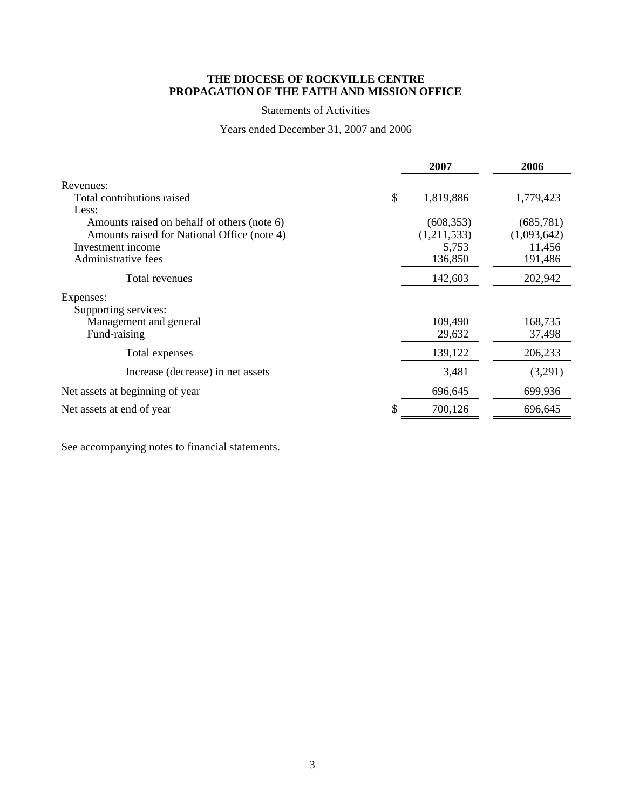# Statements of Activities

# Years ended December 31, 2007 and 2006

|                                             | 2007            | 2006        |
|---------------------------------------------|-----------------|-------------|
| Revenues:                                   |                 |             |
| Total contributions raised                  | \$<br>1,819,886 | 1,779,423   |
| Less:                                       |                 |             |
| Amounts raised on behalf of others (note 6) | (608, 353)      | (685, 781)  |
| Amounts raised for National Office (note 4) | (1,211,533)     | (1,093,642) |
| Investment income                           | 5,753           | 11,456      |
| Administrative fees                         | 136,850         | 191,486     |
| Total revenues                              | 142,603         | 202,942     |
| Expenses:                                   |                 |             |
| Supporting services:                        |                 |             |
| Management and general                      | 109,490         | 168,735     |
| Fund-raising                                | 29,632          | 37,498      |
| Total expenses                              | 139,122         | 206,233     |
| Increase (decrease) in net assets           | 3,481           | (3,291)     |
| Net assets at beginning of year             | 696,645         | 699,936     |
| Net assets at end of year                   | 700,126         | 696,645     |

See accompanying notes to financial statements.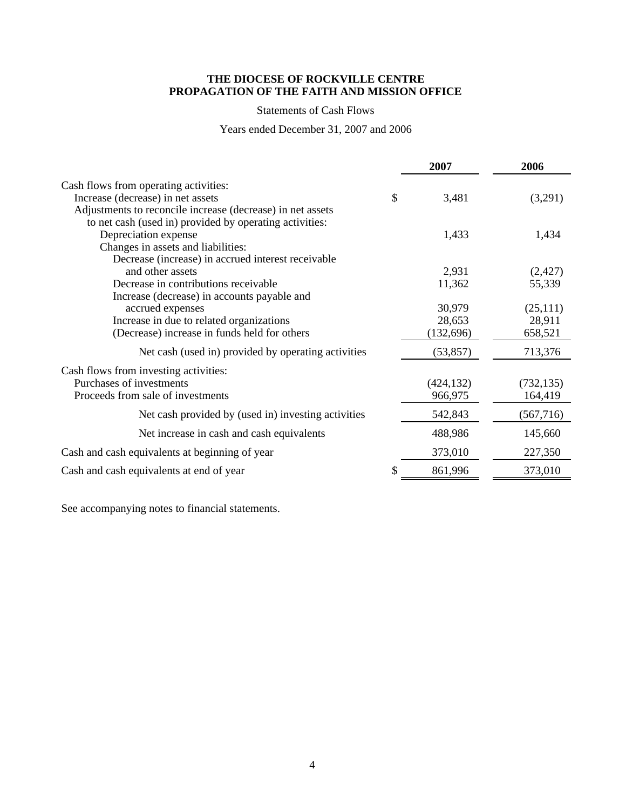# Statements of Cash Flows

Years ended December 31, 2007 and 2006

|                                                            | 2007        | 2006       |
|------------------------------------------------------------|-------------|------------|
| Cash flows from operating activities:                      |             |            |
| Increase (decrease) in net assets                          | \$<br>3,481 | (3,291)    |
| Adjustments to reconcile increase (decrease) in net assets |             |            |
| to net cash (used in) provided by operating activities:    |             |            |
| Depreciation expense                                       | 1,433       | 1,434      |
| Changes in assets and liabilities:                         |             |            |
| Decrease (increase) in accrued interest receivable         |             |            |
| and other assets                                           | 2,931       | (2,427)    |
| Decrease in contributions receivable                       | 11,362      | 55,339     |
| Increase (decrease) in accounts payable and                |             |            |
| accrued expenses                                           | 30,979      | (25,111)   |
| Increase in due to related organizations                   | 28,653      | 28,911     |
| (Decrease) increase in funds held for others               | (132, 696)  | 658,521    |
| Net cash (used in) provided by operating activities        | (53, 857)   | 713,376    |
| Cash flows from investing activities:                      |             |            |
| Purchases of investments                                   | (424, 132)  | (732, 135) |
| Proceeds from sale of investments                          | 966,975     | 164,419    |
| Net cash provided by (used in) investing activities        | 542,843     | (567, 716) |
| Net increase in cash and cash equivalents                  | 488,986     | 145,660    |
| Cash and cash equivalents at beginning of year             | 373,010     | 227,350    |
| Cash and cash equivalents at end of year                   | 861,996     | 373,010    |

See accompanying notes to financial statements.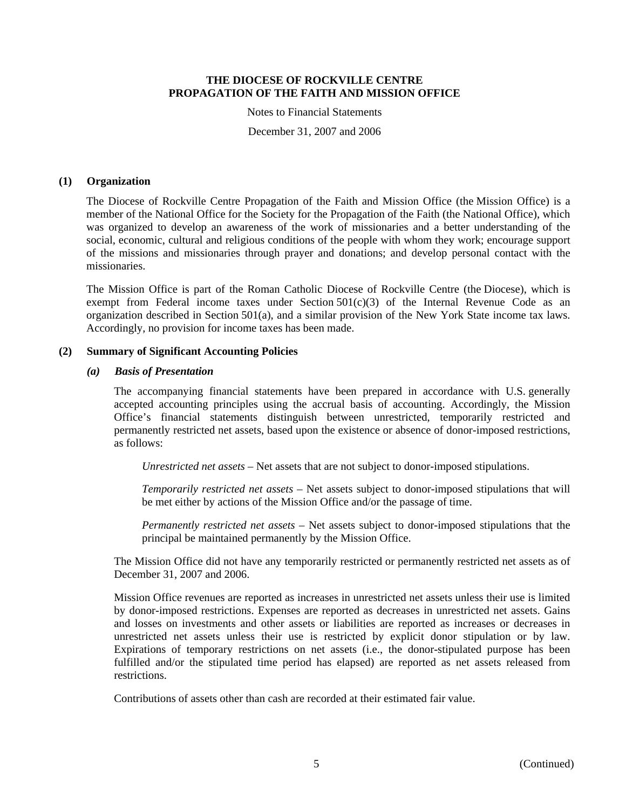Notes to Financial Statements

December 31, 2007 and 2006

# **(1) Organization**

The Diocese of Rockville Centre Propagation of the Faith and Mission Office (the Mission Office) is a member of the National Office for the Society for the Propagation of the Faith (the National Office), which was organized to develop an awareness of the work of missionaries and a better understanding of the social, economic, cultural and religious conditions of the people with whom they work; encourage support of the missions and missionaries through prayer and donations; and develop personal contact with the missionaries.

The Mission Office is part of the Roman Catholic Diocese of Rockville Centre (the Diocese), which is exempt from Federal income taxes under Section  $501(c)(3)$  of the Internal Revenue Code as an organization described in Section 501(a), and a similar provision of the New York State income tax laws. Accordingly, no provision for income taxes has been made.

#### **(2) Summary of Significant Accounting Policies**

#### *(a) Basis of Presentation*

The accompanying financial statements have been prepared in accordance with U.S. generally accepted accounting principles using the accrual basis of accounting. Accordingly, the Mission Office's financial statements distinguish between unrestricted, temporarily restricted and permanently restricted net assets, based upon the existence or absence of donor-imposed restrictions, as follows:

*Unrestricted net assets* – Net assets that are not subject to donor-imposed stipulations.

*Temporarily restricted net assets* – Net assets subject to donor-imposed stipulations that will be met either by actions of the Mission Office and/or the passage of time.

*Permanently restricted net assets* – Net assets subject to donor-imposed stipulations that the principal be maintained permanently by the Mission Office.

The Mission Office did not have any temporarily restricted or permanently restricted net assets as of December 31, 2007 and 2006.

Mission Office revenues are reported as increases in unrestricted net assets unless their use is limited by donor-imposed restrictions. Expenses are reported as decreases in unrestricted net assets. Gains and losses on investments and other assets or liabilities are reported as increases or decreases in unrestricted net assets unless their use is restricted by explicit donor stipulation or by law. Expirations of temporary restrictions on net assets (i.e., the donor-stipulated purpose has been fulfilled and/or the stipulated time period has elapsed) are reported as net assets released from restrictions.

Contributions of assets other than cash are recorded at their estimated fair value.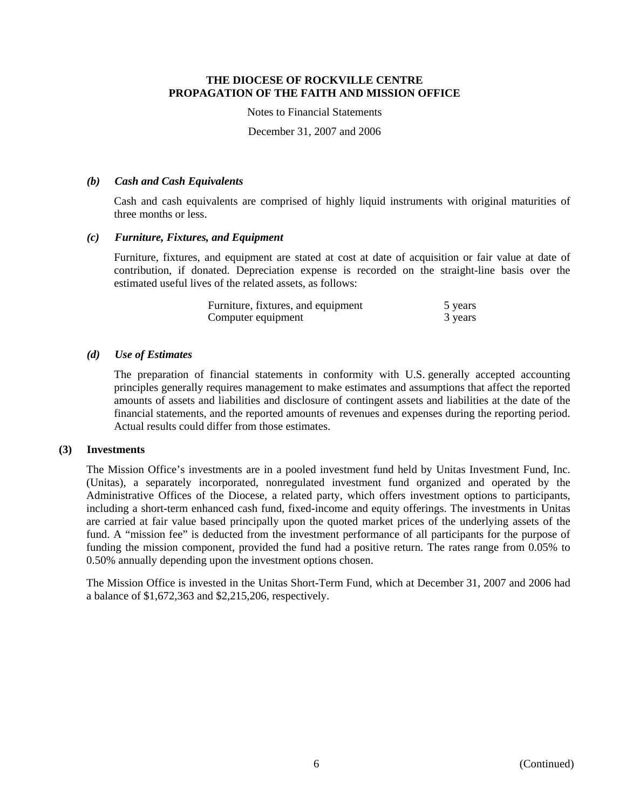Notes to Financial Statements

December 31, 2007 and 2006

#### *(b) Cash and Cash Equivalents*

Cash and cash equivalents are comprised of highly liquid instruments with original maturities of three months or less.

# *(c) Furniture, Fixtures, and Equipment*

Furniture, fixtures, and equipment are stated at cost at date of acquisition or fair value at date of contribution, if donated. Depreciation expense is recorded on the straight-line basis over the estimated useful lives of the related assets, as follows:

| Furniture, fixtures, and equipment | 5 years |
|------------------------------------|---------|
| Computer equipment                 | 3 years |

# *(d) Use of Estimates*

The preparation of financial statements in conformity with U.S. generally accepted accounting principles generally requires management to make estimates and assumptions that affect the reported amounts of assets and liabilities and disclosure of contingent assets and liabilities at the date of the financial statements, and the reported amounts of revenues and expenses during the reporting period. Actual results could differ from those estimates.

# **(3) Investments**

The Mission Office's investments are in a pooled investment fund held by Unitas Investment Fund, Inc. (Unitas), a separately incorporated, nonregulated investment fund organized and operated by the Administrative Offices of the Diocese, a related party, which offers investment options to participants, including a short-term enhanced cash fund, fixed-income and equity offerings. The investments in Unitas are carried at fair value based principally upon the quoted market prices of the underlying assets of the fund. A "mission fee" is deducted from the investment performance of all participants for the purpose of funding the mission component, provided the fund had a positive return. The rates range from 0.05% to 0.50% annually depending upon the investment options chosen.

The Mission Office is invested in the Unitas Short-Term Fund, which at December 31, 2007 and 2006 had a balance of \$1,672,363 and \$2,215,206, respectively.